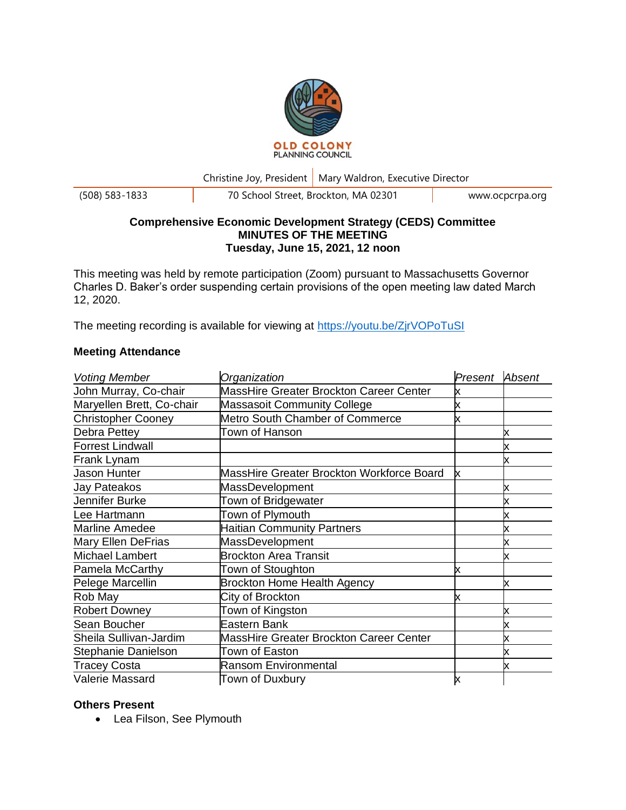

Christine Joy, President | Mary Waldron, Executive Director

(508) 583-1833 70 School Street, Brockton, MA 02301 www.ocpcrpa.org

# **Comprehensive Economic Development Strategy (CEDS) Committee MINUTES OF THE MEETING Tuesday, June 15, 2021, 12 noon**

This meeting was held by remote participation (Zoom) pursuant to Massachusetts Governor Charles D. Baker's order suspending certain provisions of the open meeting law dated March 12, 2020.

The meeting recording is available for viewing at <https://youtu.be/ZjrVOPoTuSI>

# **Meeting Attendance**

| <b>Voting Member</b>      | Organization                              | Present | Absent |
|---------------------------|-------------------------------------------|---------|--------|
| John Murray, Co-chair     | MassHire Greater Brockton Career Center   |         |        |
| Maryellen Brett, Co-chair | <b>Massasoit Community College</b>        | х       |        |
| <b>Christopher Cooney</b> | Metro South Chamber of Commerce           | x       |        |
| Debra Pettey              | Town of Hanson                            |         |        |
| <b>Forrest Lindwall</b>   |                                           |         |        |
| Frank Lynam               |                                           |         |        |
| Jason Hunter              | MassHire Greater Brockton Workforce Board | х       |        |
| Jay Pateakos              | MassDevelopment                           |         | х      |
| Jennifer Burke            | Town of Bridgewater                       |         |        |
| Lee Hartmann              | Town of Plymouth                          |         |        |
| <b>Marline Amedee</b>     | <b>Haitian Community Partners</b>         |         | х      |
| <b>Mary Ellen DeFrias</b> | <b>MassDevelopment</b>                    |         |        |
| <b>Michael Lambert</b>    | <b>Brockton Area Transit</b>              |         | х      |
| Pamela McCarthy           | Town of Stoughton                         | х       |        |
| Pelege Marcellin          | <b>Brockton Home Health Agency</b>        |         | х      |
| Rob May                   | City of Brockton                          | x       |        |
| <b>Robert Downey</b>      | Town of Kingston                          |         |        |
| Sean Boucher              | Eastern Bank                              |         |        |
| Sheila Sullivan-Jardim    | MassHire Greater Brockton Career Center   |         |        |
| Stephanie Danielson       | Town of Easton                            |         |        |
| <b>Tracey Costa</b>       | <b>Ransom Environmental</b>               |         | x      |
| Valerie Massard           | Town of Duxbury                           | x       |        |

# **Others Present**

• Lea Filson, See Plymouth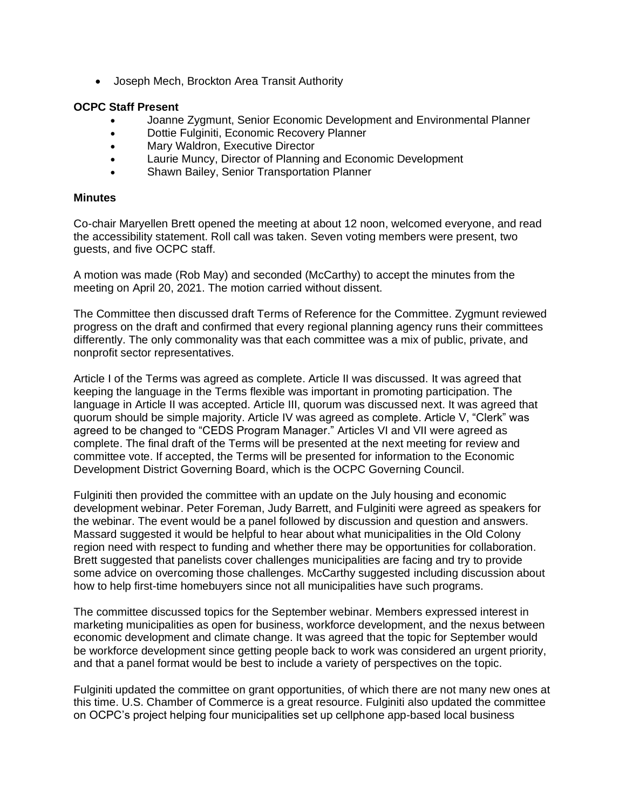• Joseph Mech, Brockton Area Transit Authority

#### **OCPC Staff Present**

- Joanne Zygmunt, Senior Economic Development and Environmental Planner
- Dottie Fulginiti, Economic Recovery Planner
- Mary Waldron, Executive Director
- Laurie Muncy, Director of Planning and Economic Development
- Shawn Bailey, Senior Transportation Planner

#### **Minutes**

Co-chair Maryellen Brett opened the meeting at about 12 noon, welcomed everyone, and read the accessibility statement. Roll call was taken. Seven voting members were present, two guests, and five OCPC staff.

A motion was made (Rob May) and seconded (McCarthy) to accept the minutes from the meeting on April 20, 2021. The motion carried without dissent.

The Committee then discussed draft Terms of Reference for the Committee. Zygmunt reviewed progress on the draft and confirmed that every regional planning agency runs their committees differently. The only commonality was that each committee was a mix of public, private, and nonprofit sector representatives.

Article I of the Terms was agreed as complete. Article II was discussed. It was agreed that keeping the language in the Terms flexible was important in promoting participation. The language in Article II was accepted. Article III, quorum was discussed next. It was agreed that quorum should be simple majority. Article IV was agreed as complete. Article V, "Clerk" was agreed to be changed to "CEDS Program Manager." Articles VI and VII were agreed as complete. The final draft of the Terms will be presented at the next meeting for review and committee vote. If accepted, the Terms will be presented for information to the Economic Development District Governing Board, which is the OCPC Governing Council.

Fulginiti then provided the committee with an update on the July housing and economic development webinar. Peter Foreman, Judy Barrett, and Fulginiti were agreed as speakers for the webinar. The event would be a panel followed by discussion and question and answers. Massard suggested it would be helpful to hear about what municipalities in the Old Colony region need with respect to funding and whether there may be opportunities for collaboration. Brett suggested that panelists cover challenges municipalities are facing and try to provide some advice on overcoming those challenges. McCarthy suggested including discussion about how to help first-time homebuyers since not all municipalities have such programs.

The committee discussed topics for the September webinar. Members expressed interest in marketing municipalities as open for business, workforce development, and the nexus between economic development and climate change. It was agreed that the topic for September would be workforce development since getting people back to work was considered an urgent priority, and that a panel format would be best to include a variety of perspectives on the topic.

Fulginiti updated the committee on grant opportunities, of which there are not many new ones at this time. U.S. Chamber of Commerce is a great resource. Fulginiti also updated the committee on OCPC's project helping four municipalities set up cellphone app-based local business